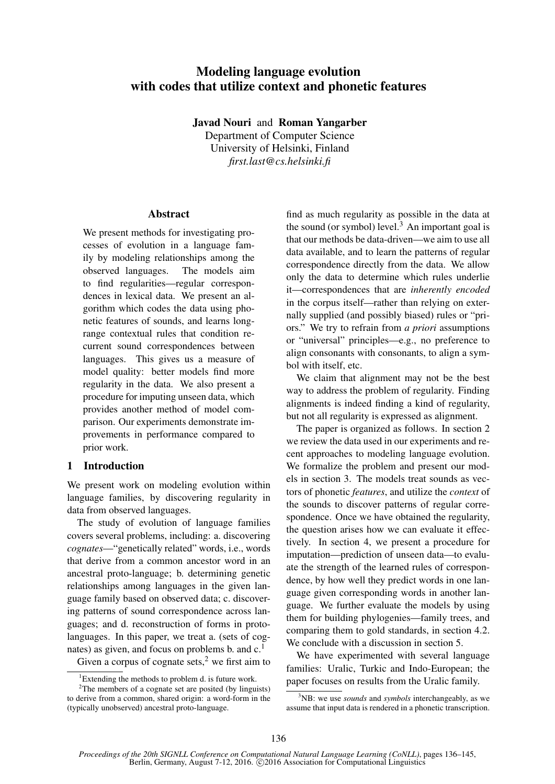# Modeling language evolution with codes that utilize context and phonetic features

Javad Nouri and Roman Yangarber Department of Computer Science University of Helsinki, Finland *first.last@cs.helsinki.fi*

# Abstract

We present methods for investigating processes of evolution in a language family by modeling relationships among the observed languages. The models aim to find regularities—regular correspondences in lexical data. We present an algorithm which codes the data using phonetic features of sounds, and learns longrange contextual rules that condition recurrent sound correspondences between languages. This gives us a measure of model quality: better models find more regularity in the data. We also present a procedure for imputing unseen data, which provides another method of model comparison. Our experiments demonstrate improvements in performance compared to prior work.

# 1 Introduction

We present work on modeling evolution within language families, by discovering regularity in data from observed languages.

The study of evolution of language families covers several problems, including: a. discovering *cognates*—"genetically related" words, i.e., words that derive from a common ancestor word in an ancestral proto-language; b. determining genetic relationships among languages in the given language family based on observed data; c. discovering patterns of sound correspondence across languages; and d. reconstruction of forms in protolanguages. In this paper, we treat a. (sets of cognates) as given, and focus on problems b. and  $c<sup>1</sup>$ .

Given a corpus of cognate sets, $2$  we first aim to

find as much regularity as possible in the data at the sound (or symbol) level.<sup>3</sup> An important goal is that our methods be data-driven—we aim to use all data available, and to learn the patterns of regular correspondence directly from the data. We allow only the data to determine which rules underlie it—correspondences that are *inherently encoded* in the corpus itself—rather than relying on externally supplied (and possibly biased) rules or "priors." We try to refrain from *a priori* assumptions or "universal" principles—e.g., no preference to align consonants with consonants, to align a symbol with itself, etc.

We claim that alignment may not be the best way to address the problem of regularity. Finding alignments is indeed finding a kind of regularity, but not all regularity is expressed as alignment.

The paper is organized as follows. In section 2 we review the data used in our experiments and recent approaches to modeling language evolution. We formalize the problem and present our models in section 3. The models treat sounds as vectors of phonetic *features*, and utilize the *context* of the sounds to discover patterns of regular correspondence. Once we have obtained the regularity, the question arises how we can evaluate it effectively. In section 4, we present a procedure for imputation—prediction of unseen data—to evaluate the strength of the learned rules of correspondence, by how well they predict words in one language given corresponding words in another language. We further evaluate the models by using them for building phylogenies—family trees, and comparing them to gold standards, in section 4.2. We conclude with a discussion in section 5.

We have experimented with several language families: Uralic, Turkic and Indo-European; the paper focuses on results from the Uralic family.

<sup>&</sup>lt;sup>1</sup>Extending the methods to problem d. is future work.

<sup>&</sup>lt;sup>2</sup>The members of a cognate set are posited (by linguists) to derive from a common, shared origin: a word-form in the (typically unobserved) ancestral proto-language.

<sup>3</sup>NB: we use *sounds* and *symbols* interchangeably, as we assume that input data is rendered in a phonetic transcription.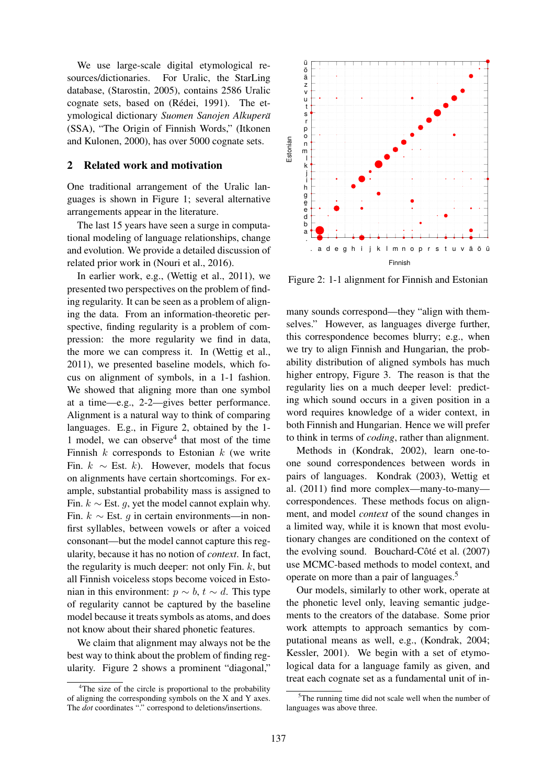We use large-scale digital etymological resources/dictionaries. For Uralic, the StarLing database, (Starostin, 2005), contains 2586 Uralic cognate sets, based on (Rédei, 1991). The etymological dictionary *Suomen Sanojen Alkupera¨* (SSA), "The Origin of Finnish Words," (Itkonen and Kulonen, 2000), has over 5000 cognate sets.

# 2 Related work and motivation

One traditional arrangement of the Uralic languages is shown in Figure 1; several alternative arrangements appear in the literature.

The last 15 years have seen a surge in computational modeling of language relationships, change and evolution. We provide a detailed discussion of related prior work in (Nouri et al., 2016).

In earlier work, e.g., (Wettig et al., 2011), we presented two perspectives on the problem of finding regularity. It can be seen as a problem of aligning the data. From an information-theoretic perspective, finding regularity is a problem of compression: the more regularity we find in data, the more we can compress it. In (Wettig et al., 2011), we presented baseline models, which focus on alignment of symbols, in a 1-1 fashion. We showed that aligning more than one symbol at a time—e.g., 2-2—gives better performance. Alignment is a natural way to think of comparing languages. E.g., in Figure 2, obtained by the 1- 1 model, we can observe<sup>4</sup> that most of the time Finnish  $k$  corresponds to Estonian  $k$  (we write Fin.  $k \sim$  Est. k). However, models that focus on alignments have certain shortcomings. For example, substantial probability mass is assigned to Fin.  $k$  ∼ Est. *g*, yet the model cannot explain why. Fin.  $k \sim$  Est. q in certain environments—in nonfirst syllables, between vowels or after a voiced consonant—but the model cannot capture this regularity, because it has no notion of *context*. In fact, the regularity is much deeper: not only Fin.  $k$ , but all Finnish voiceless stops become voiced in Estonian in this environment:  $p \sim b$ ,  $t \sim d$ . This type of regularity cannot be captured by the baseline model because it treats symbols as atoms, and does not know about their shared phonetic features.

We claim that alignment may always not be the best way to think about the problem of finding regularity. Figure 2 shows a prominent "diagonal,"



Figure 2: 1-1 alignment for Finnish and Estonian

many sounds correspond—they "align with themselves." However, as languages diverge further, this correspondence becomes blurry; e.g., when we try to align Finnish and Hungarian, the probability distribution of aligned symbols has much higher entropy, Figure 3. The reason is that the regularity lies on a much deeper level: predicting which sound occurs in a given position in a word requires knowledge of a wider context, in both Finnish and Hungarian. Hence we will prefer to think in terms of *coding*, rather than alignment.

Methods in (Kondrak, 2002), learn one-toone sound correspondences between words in pairs of languages. Kondrak (2003), Wettig et al. (2011) find more complex—many-to-many correspondences. These methods focus on alignment, and model *context* of the sound changes in a limited way, while it is known that most evolutionary changes are conditioned on the context of the evolving sound. Bouchard-Côté et al. (2007) use MCMC-based methods to model context, and operate on more than a pair of languages.<sup>5</sup>

Our models, similarly to other work, operate at the phonetic level only, leaving semantic judgements to the creators of the database. Some prior work attempts to approach semantics by computational means as well, e.g., (Kondrak, 2004; Kessler, 2001). We begin with a set of etymological data for a language family as given, and treat each cognate set as a fundamental unit of in-

<sup>&</sup>lt;sup>4</sup>The size of the circle is proportional to the probability of aligning the corresponding symbols on the X and Y axes. The *dot* coordinates "." correspond to deletions/insertions.

 $5$ The running time did not scale well when the number of languages was above three.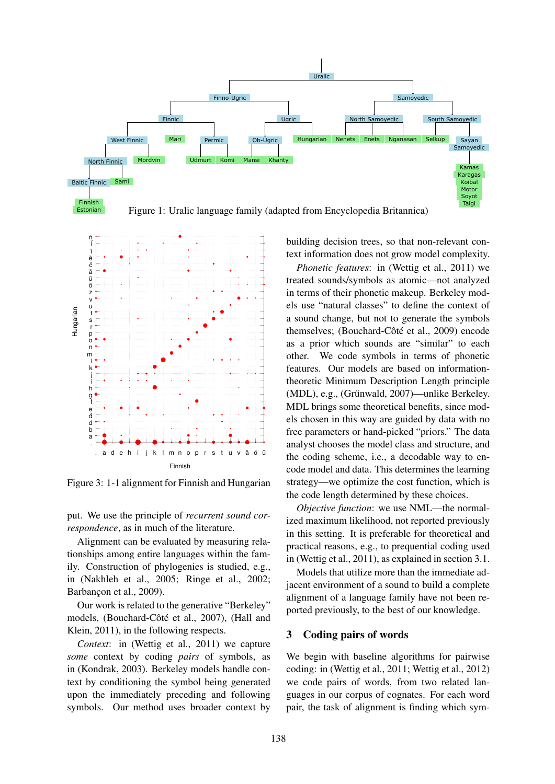



Figure 3: 1-1 alignment for Finnish and Hungarian

put. We use the principle of *recurrent sound correspondence*, as in much of the literature.

Alignment can be evaluated by measuring relationships among entire languages within the family. Construction of phylogenies is studied, e.g., in (Nakhleh et al., 2005; Ringe et al., 2002; Barbançon et al., 2009).

Our work is related to the generative "Berkeley" models, (Bouchard-Côté et al., 2007), (Hall and Klein, 2011), in the following respects.

*Context*: in (Wettig et al., 2011) we capture *some* context by coding *pairs* of symbols, as in (Kondrak, 2003). Berkeley models handle context by conditioning the symbol being generated upon the immediately preceding and following symbols. Our method uses broader context by

building decision trees, so that non-relevant context information does not grow model complexity.

*Phonetic features*: in (Wettig et al., 2011) we treated sounds/symbols as atomic—not analyzed in terms of their phonetic makeup. Berkeley models use "natural classes" to define the context of a sound change, but not to generate the symbols themselves; (Bouchard-Côté et al., 2009) encode as a prior which sounds are "similar" to each other. We code symbols in terms of phonetic features. Our models are based on informationtheoretic Minimum Description Length principle (MDL), e.g., (Grünwald, 2007)—unlike Berkeley. MDL brings some theoretical benefits, since models chosen in this way are guided by data with no free parameters or hand-picked "priors." The data analyst chooses the model class and structure, and the coding scheme, i.e., a decodable way to encode model and data. This determines the learning strategy—we optimize the cost function, which is the code length determined by these choices.

*Objective function*: we use NML—the normalized maximum likelihood, not reported previously in this setting. It is preferable for theoretical and practical reasons, e.g., to prequential coding used in (Wettig et al., 2011), as explained in section 3.1.

Models that utilize more than the immediate adjacent environment of a sound to build a complete alignment of a language family have not been reported previously, to the best of our knowledge.

# 3 Coding pairs of words

We begin with baseline algorithms for pairwise coding: in (Wettig et al., 2011; Wettig et al., 2012) we code pairs of words, from two related languages in our corpus of cognates. For each word pair, the task of alignment is finding which sym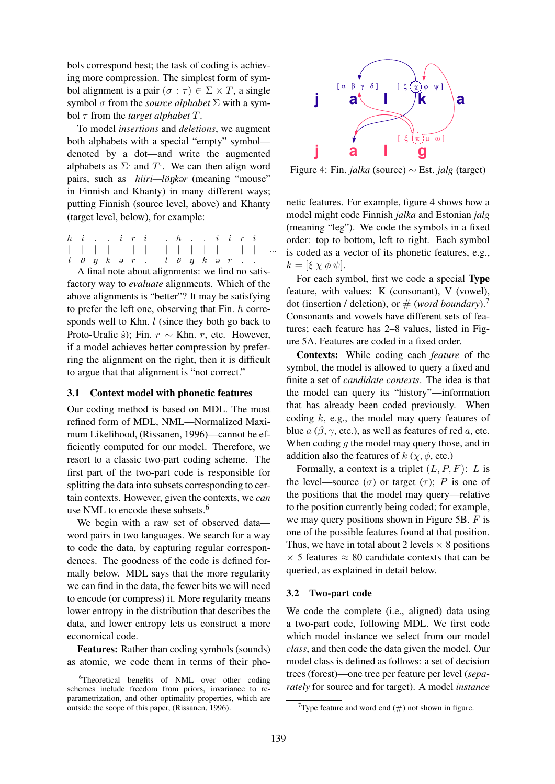bols correspond best; the task of coding is achieving more compression. The simplest form of symbol alignment is a pair  $(\sigma : \tau) \in \Sigma \times T$ , a single symbol σ from the *source alphabet* Σ with a symbol τ from the *target alphabet* T.

To model *insertions* and *deletions*, we augment both alphabets with a special "empty" symbol denoted by a dot—and write the augmented alphabets as  $\Sigma$  and  $T$ . We can then align word pairs, such as *hiiri—lönk*ar (meaning "mouse" in Finnish and Khanty) in many different ways; putting Finnish (source level, above) and Khanty (target level, below), for example:

 $h \quad i \quad . \quad . \quad i \quad r \quad i$ | | | | | | |  $l \ddot{o}$   $n \kappa$   $o$   $r$ . . h . . i i r i | | | | | | | |  $l \ddot{o}$   $\eta$   $k$   $\theta$   $r$ ...

A final note about alignments: we find no satisfactory way to *evaluate* alignments. Which of the above alignments is "better"? It may be satisfying to prefer the left one, observing that Fin.  $h$  corresponds well to Khn. *l* (since they both go back to Proto-Uralic š); Fin.  $r \sim$  Khn. r, etc. However, if a model achieves better compression by preferring the alignment on the right, then it is difficult to argue that that alignment is "not correct."

# 3.1 Context model with phonetic features

Our coding method is based on MDL. The most refined form of MDL, NML—Normalized Maximum Likelihood, (Rissanen, 1996)—cannot be efficiently computed for our model. Therefore, we resort to a classic two-part coding scheme. The first part of the two-part code is responsible for splitting the data into subsets corresponding to certain contexts. However, given the contexts, we *can* use NML to encode these subsets.<sup>6</sup>

We begin with a raw set of observed data word pairs in two languages. We search for a way to code the data, by capturing regular correspondences. The goodness of the code is defined formally below. MDL says that the more regularity we can find in the data, the fewer bits we will need to encode (or compress) it. More regularity means lower entropy in the distribution that describes the data, and lower entropy lets us construct a more economical code.

Features: Rather than coding symbols (sounds) as atomic, we code them in terms of their pho-



Figure 4: Fin. *jalka* (source) ∼ Est. *jalg* (target)

netic features. For example, figure 4 shows how a model might code Finnish *jalka* and Estonian *jalg* (meaning "leg"). We code the symbols in a fixed order: top to bottom, left to right. Each symbol is coded as a vector of its phonetic features, e.g.,  $k = [\xi \chi \phi \psi].$ 

For each symbol, first we code a special Type feature, with values: K (consonant), V (vowel), dot (insertion / deletion), or  $#$  (*word boundary*).<sup>7</sup> Consonants and vowels have different sets of features; each feature has 2–8 values, listed in Figure 5A. Features are coded in a fixed order.

Contexts: While coding each *feature* of the symbol, the model is allowed to query a fixed and finite a set of *candidate contexts*. The idea is that the model can query its "history"—information that has already been coded previously. When coding  $k$ , e.g., the model may query features of blue  $a(\beta, \gamma, \text{etc.})$ , as well as features of red a, etc. When coding  $q$  the model may query those, and in addition also the features of  $k$  ( $\chi$ ,  $\phi$ , etc.)

Formally, a context is a triplet  $(L, P, F)$ : L is the level—source ( $\sigma$ ) or target ( $\tau$ ); P is one of the positions that the model may query—relative to the position currently being coded; for example, we may query positions shown in Figure 5B.  $F$  is one of the possible features found at that position. Thus, we have in total about 2 levels  $\times$  8 positions  $\times$  5 features  $\approx$  80 candidate contexts that can be queried, as explained in detail below.

# 3.2 Two-part code

We code the complete (i.e., aligned) data using a two-part code, following MDL. We first code which model instance we select from our model *class*, and then code the data given the model. Our model class is defined as follows: a set of decision trees (forest)—one tree per feature per level (*separately* for source and for target). A model *instance*

<sup>&</sup>lt;sup>6</sup>Theoretical benefits of NML over other coding schemes include freedom from priors, invariance to reparametrization, and other optimality properties, which are outside the scope of this paper, (Rissanen, 1996).

<sup>&</sup>lt;sup>7</sup>Type feature and word end  $(\#)$  not shown in figure.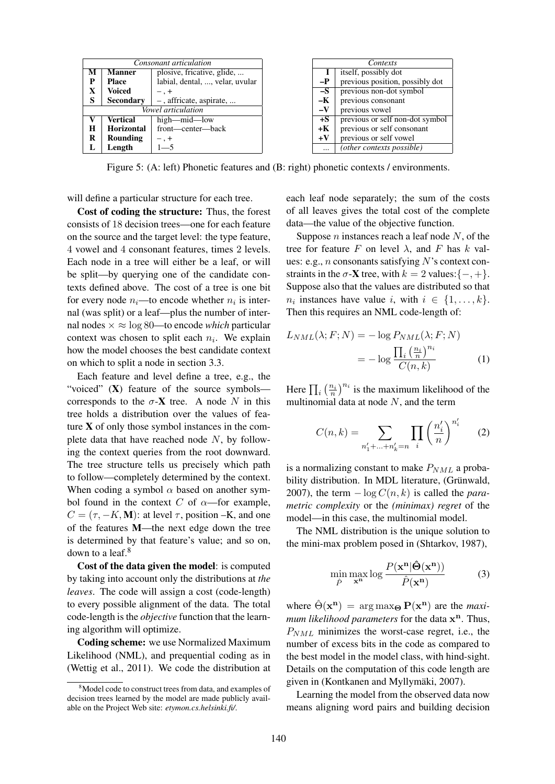| Consonant articulation |                  |                                 | Contexts   |                                 |  |  |
|------------------------|------------------|---------------------------------|------------|---------------------------------|--|--|
| М                      | <b>Manner</b>    | plosive, fricative, glide,      |            | itself, possibly dot            |  |  |
| P                      | <b>Place</b>     | labial, dental, , velar, uvular | $-P$       | previous position, possibly dot |  |  |
| X                      | <b>Voiced</b>    | $-$ , $+$                       | $-S$       | previous non-dot symbol         |  |  |
| S                      | <b>Secondary</b> | $-$ , affricate, aspirate,      | -К         | previous consonant              |  |  |
| Vowel articulation     |                  |                                 | $-V$       | previous vowel                  |  |  |
|                        | <b>Vertical</b>  | high-mid-low                    | $+S$       | previous or self non-dot symbol |  |  |
| H                      | Horizontal       | front—center—back               | $+{\bf K}$ | previous or self consonant      |  |  |
| R                      | Rounding         | $-$ , $+$                       | $+V$       | previous or self vowel          |  |  |
| L                      | Length           | $1 - 5$                         | $\cdots$   | (other contexts possible)       |  |  |

Figure 5: (A: left) Phonetic features and (B: right) phonetic contexts / environments.

will define a particular structure for each tree.

Cost of coding the structure: Thus, the forest consists of 18 decision trees—one for each feature on the source and the target level: the type feature, 4 vowel and 4 consonant features, times 2 levels. Each node in a tree will either be a leaf, or will be split—by querying one of the candidate contexts defined above. The cost of a tree is one bit for every node  $n_i$ —to encode whether  $n_i$  is internal (was split) or a leaf—plus the number of internal nodes  $\times \approx \log 80$ —to encode *which* particular context was chosen to split each  $n_i$ . We explain how the model chooses the best candidate context on which to split a node in section 3.3.

Each feature and level define a tree, e.g., the "voiced" (X) feature of the source symbols corresponds to the  $\sigma$ -**X** tree. A node N in this tree holds a distribution over the values of feature  $X$  of only those symbol instances in the complete data that have reached node  $N$ , by following the context queries from the root downward. The tree structure tells us precisely which path to follow—completely determined by the context. When coding a symbol  $\alpha$  based on another symbol found in the context C of  $\alpha$ —for example,  $C = (\tau, -K, M)$ : at level  $\tau$ , position –K, and one of the features M—the next edge down the tree is determined by that feature's value; and so on, down to a leaf.<sup>8</sup>

Cost of the data given the model: is computed by taking into account only the distributions at *the leaves*. The code will assign a cost (code-length) to every possible alignment of the data. The total code-length is the *objective* function that the learning algorithm will optimize.

Coding scheme: we use Normalized Maximum Likelihood (NML), and prequential coding as in (Wettig et al., 2011). We code the distribution at each leaf node separately; the sum of the costs of all leaves gives the total cost of the complete data—the value of the objective function.

Suppose *n* instances reach a leaf node  $N$ , of the tree for feature F on level  $\lambda$ , and F has k values: e.g., *n* consonants satisfying N's context constraints in the  $\sigma$ -**X** tree, with  $k = 2$  values: $\{-, +\}.$ Suppose also that the values are distributed so that  $n_i$  instances have value i, with  $i \in \{1, \ldots, k\}.$ Then this requires an NML code-length of:

$$
L_{NML}(\lambda; F; N) = -\log P_{NML}(\lambda; F; N)
$$

$$
= -\log \frac{\prod_{i} \left(\frac{n_i}{n}\right)^{n_i}}{C(n, k)} \tag{1}
$$

Here  $\prod_i \left(\frac{n_i}{n}\right)^{n_i}$  is the maximum likelihood of the multinomial data at node  $N$ , and the term

$$
C(n,k) = \sum_{n'_1 + \dots + n'_k = n} \prod_i \left(\frac{n'_i}{n}\right)^{n'_i} \qquad (2)
$$

is a normalizing constant to make  $P_{NML}$  a probability distribution. In MDL literature, (Grünwald, 2007), the term  $-\log C(n, k)$  is called the *parametric complexity* or the *(minimax) regret* of the model—in this case, the multinomial model.

The NML distribution is the unique solution to the mini-max problem posed in (Shtarkov, 1987),

$$
\min_{\hat{P}} \max_{\mathbf{x}^{\mathbf{n}}} \log \frac{P(\mathbf{x}^{\mathbf{n}} | \hat{\boldsymbol{\Theta}}(\mathbf{x}^{\mathbf{n}}))}{\hat{P}(\mathbf{x}^{\mathbf{n}})}
$$
(3)

where  $\hat{\Theta}(\mathbf{x}^n) = \arg \max_{\Theta} \mathbf{P}(\mathbf{x}^n)$  are the *maxi*mum likelihood parameters for the data  $x^n$ . Thus,  $P_{NML}$  minimizes the worst-case regret, i.e., the number of excess bits in the code as compared to the best model in the model class, with hind-sight. Details on the computation of this code length are given in (Kontkanen and Myllymäki, 2007).

Learning the model from the observed data now means aligning word pairs and building decision

<sup>&</sup>lt;sup>8</sup>Model code to construct trees from data, and examples of decision trees learned by the model are made publicly available on the Project Web site: *etymon.cs.helsinki.fi/*.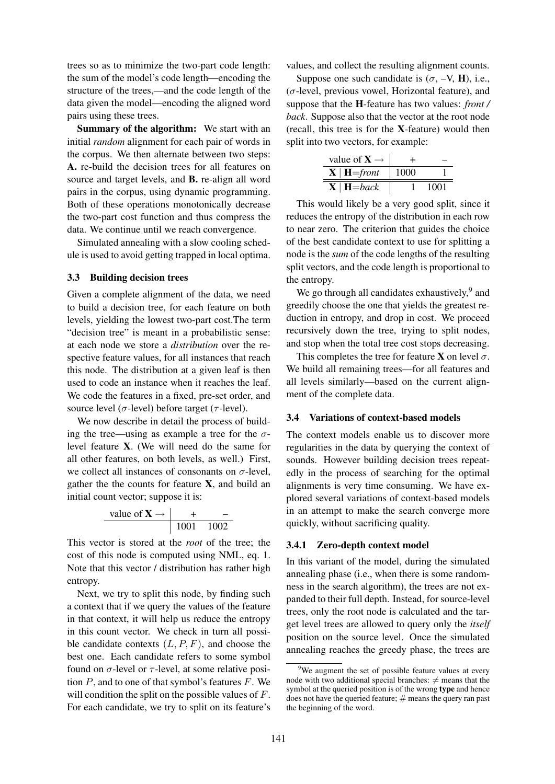trees so as to minimize the two-part code length: the sum of the model's code length—encoding the structure of the trees,—and the code length of the data given the model—encoding the aligned word pairs using these trees.

Summary of the algorithm: We start with an initial *random* alignment for each pair of words in the corpus. We then alternate between two steps: A. re-build the decision trees for all features on source and target levels, and B. re-align all word pairs in the corpus, using dynamic programming. Both of these operations monotonically decrease the two-part cost function and thus compress the data. We continue until we reach convergence.

Simulated annealing with a slow cooling schedule is used to avoid getting trapped in local optima.

### 3.3 Building decision trees

Given a complete alignment of the data, we need to build a decision tree, for each feature on both levels, yielding the lowest two-part cost.The term "decision tree" is meant in a probabilistic sense: at each node we store a *distribution* over the respective feature values, for all instances that reach this node. The distribution at a given leaf is then used to code an instance when it reaches the leaf. We code the features in a fixed, pre-set order, and source level ( $\sigma$ -level) before target ( $\tau$ -level).

We now describe in detail the process of building the tree—using as example a tree for the  $\sigma$ level feature X. (We will need do the same for all other features, on both levels, as well.) First, we collect all instances of consonants on  $\sigma$ -level, gather the the counts for feature  $X$ , and build an initial count vector; suppose it is:

value of 
$$
\mathbf{X} \rightarrow \begin{array}{|c|c|c|}\n & + & - \\
\hline\n1001 & 1002\n\end{array}
$$

This vector is stored at the *root* of the tree; the cost of this node is computed using NML, eq. 1. Note that this vector / distribution has rather high entropy.

Next, we try to split this node, by finding such a context that if we query the values of the feature in that context, it will help us reduce the entropy in this count vector. We check in turn all possible candidate contexts  $(L, P, F)$ , and choose the best one. Each candidate refers to some symbol found on  $\sigma$ -level or  $\tau$ -level, at some relative position  $P$ , and to one of that symbol's features  $F$ . We will condition the split on the possible values of F. For each candidate, we try to split on its feature's values, and collect the resulting alignment counts.

Suppose one such candidate is  $(\sigma, -V, H)$ , i.e.,  $(\sigma$ -level, previous vowel, Horizontal feature), and suppose that the H-feature has two values: *front / back*. Suppose also that the vector at the root node (recall, this tree is for the X-feature) would then split into two vectors, for example:

| value of $X \rightarrow$ |      |      |  |
|--------------------------|------|------|--|
| $X \mid H = front$       | 1000 |      |  |
| $X \mid H = back$        |      | 1001 |  |

This would likely be a very good split, since it reduces the entropy of the distribution in each row to near zero. The criterion that guides the choice of the best candidate context to use for splitting a node is the *sum* of the code lengths of the resulting split vectors, and the code length is proportional to the entropy.

We go through all candidates exhaustively,<sup>9</sup> and greedily choose the one that yields the greatest reduction in entropy, and drop in cost. We proceed recursively down the tree, trying to split nodes, and stop when the total tree cost stops decreasing.

This completes the tree for feature **X** on level  $\sigma$ . We build all remaining trees—for all features and all levels similarly—based on the current alignment of the complete data.

#### 3.4 Variations of context-based models

The context models enable us to discover more regularities in the data by querying the context of sounds. However building decision trees repeatedly in the process of searching for the optimal alignments is very time consuming. We have explored several variations of context-based models in an attempt to make the search converge more quickly, without sacrificing quality.

#### 3.4.1 Zero-depth context model

In this variant of the model, during the simulated annealing phase (i.e., when there is some randomness in the search algorithm), the trees are not expanded to their full depth. Instead, for source-level trees, only the root node is calculated and the target level trees are allowed to query only the *itself* position on the source level. Once the simulated annealing reaches the greedy phase, the trees are

<sup>&</sup>lt;sup>9</sup>We augment the set of possible feature values at every node with two additional special branches:  $\neq$  means that the symbol at the queried position is of the wrong type and hence does not have the queried feature;  $#$  means the query ran past the beginning of the word.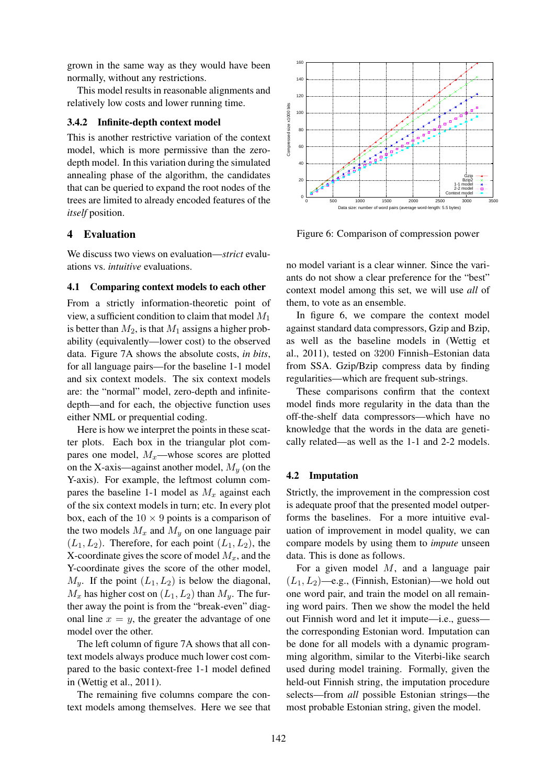grown in the same way as they would have been normally, without any restrictions.

This model results in reasonable alignments and relatively low costs and lower running time.

### 3.4.2 Infinite-depth context model

This is another restrictive variation of the context model, which is more permissive than the zerodepth model. In this variation during the simulated annealing phase of the algorithm, the candidates that can be queried to expand the root nodes of the trees are limited to already encoded features of the *itself* position.

# 4 Evaluation

We discuss two views on evaluation—*strict* evaluations vs. *intuitive* evaluations.

#### 4.1 Comparing context models to each other

From a strictly information-theoretic point of view, a sufficient condition to claim that model  $M_1$ is better than  $M_2$ , is that  $M_1$  assigns a higher probability (equivalently—lower cost) to the observed data. Figure 7A shows the absolute costs, *in bits*, for all language pairs—for the baseline 1-1 model and six context models. The six context models are: the "normal" model, zero-depth and infinitedepth—and for each, the objective function uses either NML or prequential coding.

Here is how we interpret the points in these scatter plots. Each box in the triangular plot compares one model,  $M_x$ —whose scores are plotted on the X-axis—against another model,  $M<sub>y</sub>$  (on the Y-axis). For example, the leftmost column compares the baseline 1-1 model as  $M_x$  against each of the six context models in turn; etc. In every plot box, each of the  $10 \times 9$  points is a comparison of the two models  $M_x$  and  $M_y$  on one language pair  $(L_1, L_2)$ . Therefore, for each point  $(L_1, L_2)$ , the X-coordinate gives the score of model  $M_x$ , and the Y-coordinate gives the score of the other model,  $M_y$ . If the point  $(L_1, L_2)$  is below the diagonal,  $M_x$  has higher cost on  $(L_1, L_2)$  than  $M_y$ . The further away the point is from the "break-even" diagonal line  $x = y$ , the greater the advantage of one model over the other. tres are limited to already encoded features of the<br> *itself* position.<br> **4 Evaluation**<br> **41 Evaluation**<br> **41 Comparing context models to each other**<br> **41 Comparing context models to each other**<br> **41 Comparing context mod** 

The left column of figure 7A shows that all context models always produce much lower cost compared to the basic context-free 1-1 model defined in (Wettig et al., 2011).

The remaining five columns compare the con-



Figure 6: Comparison of compression power

no model variant is a clear winner. Since the variants do not show a clear preference for the "best" context model among this set, we will use *all* of them, to vote as an ensemble.

In figure 6, we compare the context model against standard data compressors, Gzip and Bzip, as well as the baseline models in (Wettig et al., 2011), tested on 3200 Finnish–Estonian data from SSA. Gzip/Bzip compress data by finding regularities—which are frequent sub-strings.

These comparisons confirm that the context model finds more regularity in the data than the off-the-shelf data compressors—which have no knowledge that the words in the data are genetically related—as well as the 1-1 and 2-2 models.

### 4.2 Imputation

Strictly, the improvement in the compression cost is adequate proof that the presented model outperforms the baselines. For a more intuitive evaluation of improvement in model quality, we can compare models by using them to *impute* unseen data. This is done as follows.

For a given model  $M$ , and a language pair  $(L_1, L_2)$ —e.g., (Finnish, Estonian)—we hold out one word pair, and train the model on all remaining word pairs. Then we show the model the held out Finnish word and let it impute—i.e., guess the corresponding Estonian word. Imputation can be done for all models with a dynamic programming algorithm, similar to the Viterbi-like search used during model training. Formally, given the held-out Finnish string, the imputation procedure selects—from *all* possible Estonian strings—the most probable Estonian string, given the model.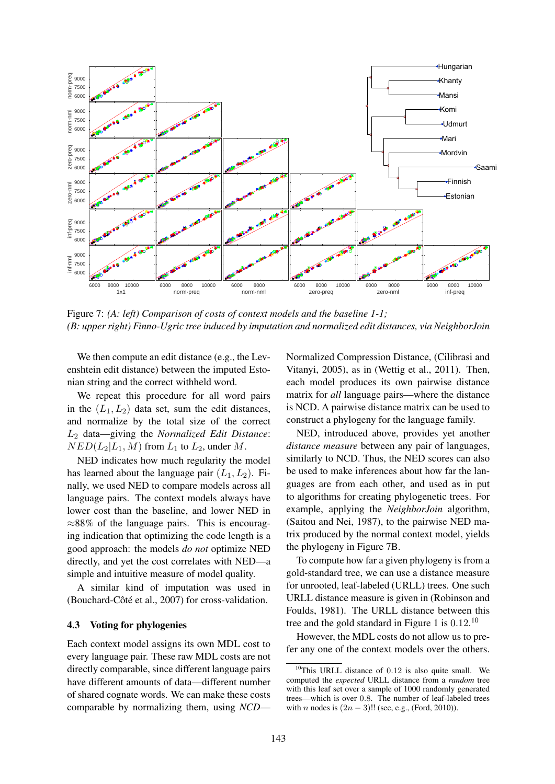

Figure 7: *(A: left) Comparison of costs of context models and the baseline 1-1; (B: upper right) Finno-Ugric tree induced by imputation and normalized edit distances, via NeighborJoin*

We then compute an edit distance (e.g., the Levenshtein edit distance) between the imputed Estonian string and the correct withheld word.

We repeat this procedure for all word pairs in the  $(L_1, L_2)$  data set, sum the edit distances, and normalize by the total size of the correct L<sup>2</sup> data—giving the *Normalized Edit Distance*:  $NED(L_2|L_1, M)$  from  $L_1$  to  $L_2$ , under M.

NED indicates how much regularity the model has learned about the language pair  $(L_1, L_2)$ . Finally, we used NED to compare models across all language pairs. The context models always have lower cost than the baseline, and lower NED in ≈88% of the language pairs. This is encouraging indication that optimizing the code length is a good approach: the models *do not* optimize NED directly, and yet the cost correlates with NED—a simple and intuitive measure of model quality.

A similar kind of imputation was used in (Bouchard-Côté et al., 2007) for cross-validation.

# 4.3 Voting for phylogenies

Each context model assigns its own MDL cost to every language pair. These raw MDL costs are not directly comparable, since different language pairs have different amounts of data—different number of shared cognate words. We can make these costs comparable by normalizing them, using *NCD*—

Normalized Compression Distance, (Cilibrasi and Vitanyi, 2005), as in (Wettig et al., 2011). Then, each model produces its own pairwise distance matrix for *all* language pairs—where the distance is NCD. A pairwise distance matrix can be used to construct a phylogeny for the language family.

NED, introduced above, provides yet another *distance measure* between any pair of languages, similarly to NCD. Thus, the NED scores can also be used to make inferences about how far the languages are from each other, and used as in put to algorithms for creating phylogenetic trees. For example, applying the *NeighborJoin* algorithm, (Saitou and Nei, 1987), to the pairwise NED matrix produced by the normal context model, yields the phylogeny in Figure 7B.

To compute how far a given phylogeny is from a gold-standard tree, we can use a distance measure for unrooted, leaf-labeled (URLL) trees. One such URLL distance measure is given in (Robinson and Foulds, 1981). The URLL distance between this tree and the gold standard in Figure 1 is  $0.12$ .<sup>10</sup>

However, the MDL costs do not allow us to prefer any one of the context models over the others.

 $10$ This URLL distance of 0.12 is also quite small. We computed the *expected* URLL distance from a *random* tree with this leaf set over a sample of 1000 randomly generated trees—which is over 0.8. The number of leaf-labeled trees with *n* nodes is  $(2n - 3)!!$  (see, e.g., (Ford, 2010)).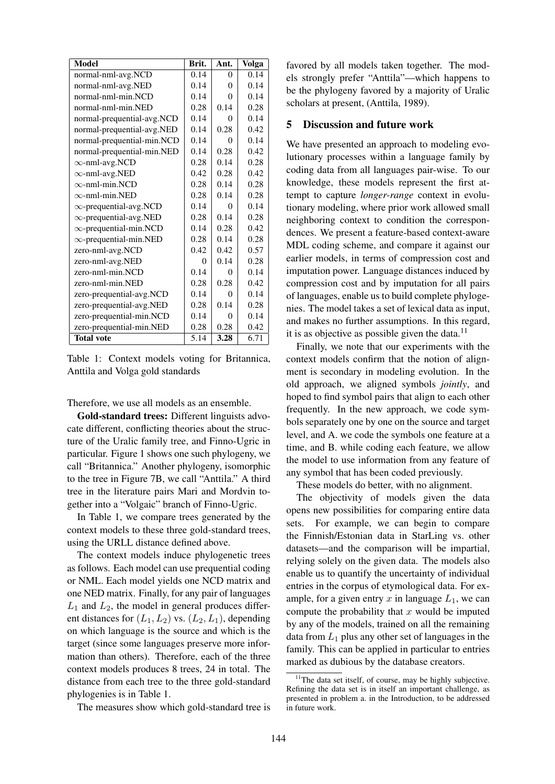| <b>Model</b>                  | Brit.    | Ant.     | <b>Volga</b> |
|-------------------------------|----------|----------|--------------|
| normal-nml-avg.NCD            | 0.14     | $\theta$ | 0.14         |
| normal-nml-avg.NED            | 0.14     | 0        | 0.14         |
| normal-nml-min.NCD            | 0.14     | $\Omega$ | 0.14         |
| normal-nml-min.NED            | 0.28     | 0.14     | 0.28         |
| normal-prequential-avg.NCD    | 0.14     | 0        | 0.14         |
| normal-prequential-avg.NED    | 0.14     | 0.28     | 0.42         |
| normal-prequential-min.NCD    | 0.14     | $\Omega$ | 0.14         |
| normal-prequential-min.NED    | 0.14     | 0.28     | 0.42         |
| $\infty$ -nml-avg.NCD         | 0.28     | 0.14     | 0.28         |
| $\infty$ -nml-avg.NED         | 0.42     | 0.28     | 0.42         |
| $\infty$ -nml-min.NCD         | 0.28     | 0.14     | 0.28         |
| $\infty$ -nml-min.NED         | 0.28     | 0.14     | 0.28         |
| $\infty$ -prequential-avg.NCD | 0.14     | 0        | 0.14         |
| $\infty$ -prequential-avg.NED | 0.28     | 0.14     | 0.28         |
| $\infty$ -prequential-min.NCD | 0.14     | 0.28     | 0.42         |
| $\infty$ -prequential-min.NED | 0.28     | 0.14     | 0.28         |
| zero-nml-avg.NCD              | 0.42     | 0.42     | 0.57         |
| zero-nml-avg.NED              | $\Omega$ | 0.14     | 0.28         |
| zero-nml-min.NCD              | 0.14     | $\Omega$ | 0.14         |
| zero-nml-min.NED              | 0.28     | 0.28     | 0.42         |
| zero-prequential-avg.NCD      | 0.14     | $\Omega$ | 0.14         |
| zero-prequential-avg.NED      | 0.28     | 0.14     | 0.28         |
| zero-prequential-min.NCD      | 0.14     | $\Omega$ | 0.14         |
| zero-prequential-min.NED      | 0.28     | 0.28     | 0.42         |
| <b>Total vote</b>             | 5.14     | 3.28     | 6.71         |

Table 1: Context models voting for Britannica, Anttila and Volga gold standards

Therefore, we use all models as an ensemble.

Gold-standard trees: Different linguists advocate different, conflicting theories about the structure of the Uralic family tree, and Finno-Ugric in particular. Figure 1 shows one such phylogeny, we call "Britannica." Another phylogeny, isomorphic to the tree in Figure 7B, we call "Anttila." A third tree in the literature pairs Mari and Mordvin together into a "Volgaic" branch of Finno-Ugric.

In Table 1, we compare trees generated by the context models to these three gold-standard trees, using the URLL distance defined above.

The context models induce phylogenetic trees as follows. Each model can use prequential coding or NML. Each model yields one NCD matrix and one NED matrix. Finally, for any pair of languages  $L_1$  and  $L_2$ , the model in general produces different distances for  $(L_1, L_2)$  vs.  $(L_2, L_1)$ , depending on which language is the source and which is the target (since some languages preserve more information than others). Therefore, each of the three context models produces 8 trees, 24 in total. The distance from each tree to the three gold-standard phylogenies is in Table 1.

The measures show which gold-standard tree is

favored by all models taken together. The models strongly prefer "Anttila"—which happens to be the phylogeny favored by a majority of Uralic scholars at present, (Anttila, 1989).

### 5 Discussion and future work

We have presented an approach to modeling evolutionary processes within a language family by coding data from all languages pair-wise. To our knowledge, these models represent the first attempt to capture *longer-range* context in evolutionary modeling, where prior work allowed small neighboring context to condition the correspondences. We present a feature-based context-aware MDL coding scheme, and compare it against our earlier models, in terms of compression cost and imputation power. Language distances induced by compression cost and by imputation for all pairs of languages, enable us to build complete phylogenies. The model takes a set of lexical data as input, and makes no further assumptions. In this regard, it is as objective as possible given the data.<sup>11</sup>

Finally, we note that our experiments with the context models confirm that the notion of alignment is secondary in modeling evolution. In the old approach, we aligned symbols *jointly*, and hoped to find symbol pairs that align to each other frequently. In the new approach, we code symbols separately one by one on the source and target level, and A. we code the symbols one feature at a time, and B. while coding each feature, we allow the model to use information from any feature of any symbol that has been coded previously.

These models do better, with no alignment.

The objectivity of models given the data opens new possibilities for comparing entire data sets. For example, we can begin to compare the Finnish/Estonian data in StarLing vs. other datasets—and the comparison will be impartial, relying solely on the given data. The models also enable us to quantify the uncertainty of individual entries in the corpus of etymological data. For example, for a given entry x in language  $L_1$ , we can compute the probability that  $x$  would be imputed by any of the models, trained on all the remaining data from  $L_1$  plus any other set of languages in the family. This can be applied in particular to entries marked as dubious by the database creators.

 $11$ The data set itself, of course, may be highly subjective. Refining the data set is in itself an important challenge, as presented in problem a. in the Introduction, to be addressed in future work.